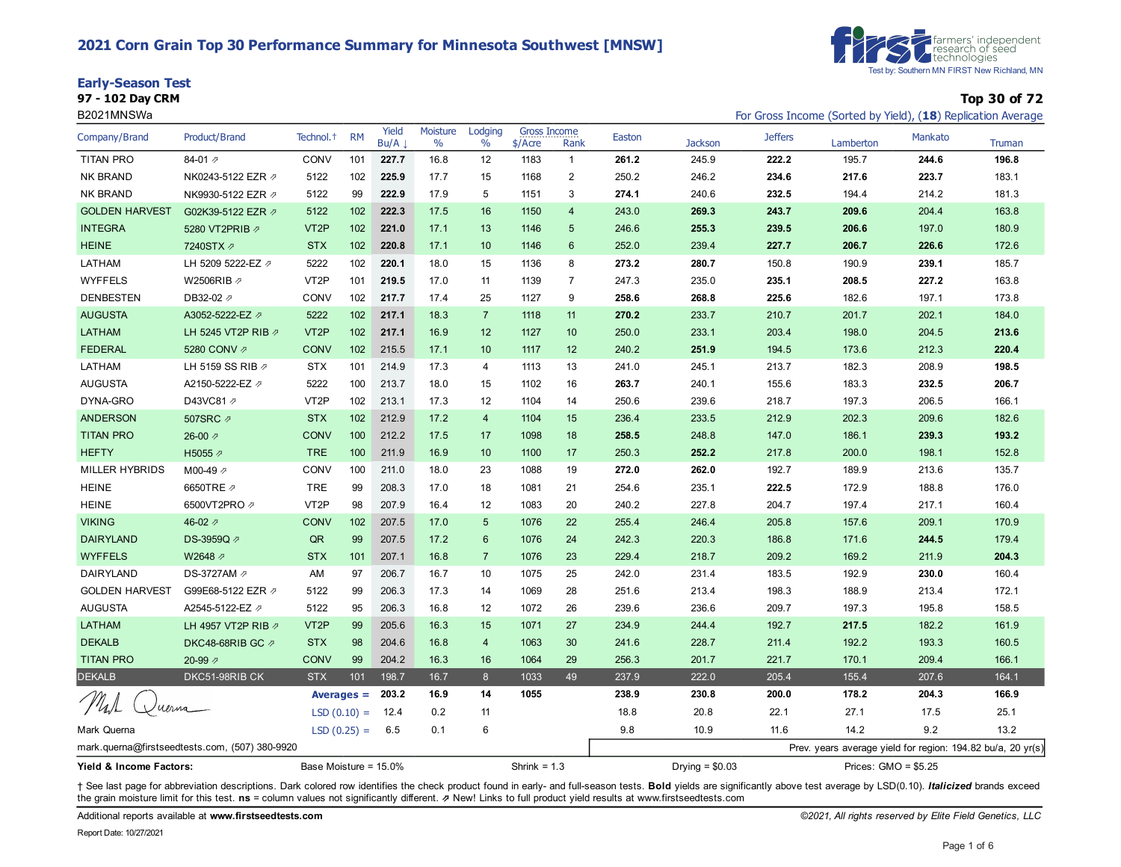#### **2021 Corn Grain Top 30 Performance Summary for Minnesota Southwest [MNSW]**

| <b>Early-Season Test</b> |  |
|--------------------------|--|
|--------------------------|--|

| <b>Farmers' independent</b><br><b>C</b> research of seed<br><b>C</b> rechnologies |
|-----------------------------------------------------------------------------------|
| Test by: Southern MN FIRST New Richland, MN                                       |

**97 - 102 Day CRM Top 30 of 72**

| B2021MNSWa                                       |                                                |                       |               |               |                  |                 |                                |                |                                           |                |                | For Gross Income (Sorted by Yield), (18) Replication Average |         |        |
|--------------------------------------------------|------------------------------------------------|-----------------------|---------------|---------------|------------------|-----------------|--------------------------------|----------------|-------------------------------------------|----------------|----------------|--------------------------------------------------------------|---------|--------|
| Company/Brand                                    | Product/Brand                                  | Technol. <sup>+</sup> | <b>RM</b>     | Yield<br>Bu/A | Moisture<br>$\%$ | Lodging<br>$\%$ | <b>Gross Income</b><br>\$/Acre | Rank           | Easton                                    | <b>Jackson</b> | <b>Jeffers</b> | Lamberton                                                    | Mankato | Truman |
| <b>TITAN PRO</b>                                 | 84-01 $\n  7$                                  | <b>CONV</b>           | 101           | 227.7         | 16.8             | 12              | 1183                           | $\mathbf{1}$   | 261.2                                     | 245.9          | 222.2          | 195.7                                                        | 244.6   | 196.8  |
| <b>NK BRAND</b>                                  | NK0243-5122 EZR Ø                              | 5122                  | 102           | 225.9         | 17.7             | 15              | 1168                           | $\mathbf{2}$   | 250.2                                     | 246.2          | 234.6          | 217.6                                                        | 223.7   | 183.1  |
| <b>NK BRAND</b>                                  | NK9930-5122 EZR の                              | 5122                  | 99            | 222.9         | 17.9             | 5               | 1151                           | 3              | 274.1                                     | 240.6          | 232.5          | 194.4                                                        | 214.2   | 181.3  |
| <b>GOLDEN HARVEST</b>                            | G02K39-5122 EZR 2                              | 5122                  | 102           | 222.3         | 17.5             | 16              | 1150                           | 4              | 243.0                                     | 269.3          | 243.7          | 209.6                                                        | 204.4   | 163.8  |
| <b>INTEGRA</b>                                   | 5280 VT2PRIB 2                                 | VT <sub>2</sub> P     | 102           | 221.0         | 17.1             | 13              | 1146                           | 5              | 246.6                                     | 255.3          | 239.5          | 206.6                                                        | 197.0   | 180.9  |
| <b>HEINE</b>                                     | 7240STX 2                                      | <b>STX</b>            | 102           | 220.8         | 17.1             | 10              | 1146                           | 6              | 252.0                                     | 239.4          | 227.7          | 206.7                                                        | 226.6   | 172.6  |
| LATHAM                                           | LH 5209 5222-EZ 2                              | 5222                  | 102           | 220.1         | 18.0             | 15              | 1136                           | 8              | 273.2                                     | 280.7          | 150.8          | 190.9                                                        | 239.1   | 185.7  |
| <b>WYFFELS</b>                                   | W2506RIB の                                     | VT <sub>2</sub> P     | 101           | 219.5         | 17.0             | 11              | 1139                           | $\overline{7}$ | 247.3                                     | 235.0          | 235.1          | 208.5                                                        | 227.2   | 163.8  |
| <b>DENBESTEN</b>                                 | DB32-02 2                                      | CONV                  | 102           | 217.7         | 17.4             | 25              | 1127                           | 9              | 258.6                                     | 268.8          | 225.6          | 182.6                                                        | 197.1   | 173.8  |
| <b>AUGUSTA</b>                                   | A3052-5222-EZ 2                                | 5222                  | 102           | 217.1         | 18.3             | $\overline{7}$  | 1118                           | 11             | 270.2                                     | 233.7          | 210.7          | 201.7                                                        | 202.1   | 184.0  |
| LATHAM                                           | LH 5245 VT2P RIB 2                             | VT <sub>2</sub> P     | 102           | 217.1         | 16.9             | 12              | 1127                           | 10             | 250.0                                     | 233.1          | 203.4          | 198.0                                                        | 204.5   | 213.6  |
| <b>FEDERAL</b>                                   | 5280 CONV 2                                    | <b>CONV</b>           | 102           | 215.5         | 17.1             | 10              | 1117                           | 12             | 240.2                                     | 251.9          | 194.5          | 173.6                                                        | 212.3   | 220.4  |
| LATHAM                                           | LH 5159 SS RIB 2                               | <b>STX</b>            | 101           | 214.9         | 17.3             | 4               | 1113                           | 13             | 241.0                                     | 245.1          | 213.7          | 182.3                                                        | 208.9   | 198.5  |
| <b>AUGUSTA</b>                                   | A2150-5222-EZ 2                                | 5222                  | 100           | 213.7         | 18.0             | 15              | 1102                           | 16             | 263.7                                     | 240.1          | 155.6          | 183.3                                                        | 232.5   | 206.7  |
| DYNA-GRO                                         | D43VC81 2                                      | VT <sub>2</sub> P     | 102           | 213.1         | 17.3             | 12              | 1104                           | 14             | 250.6                                     | 239.6          | 218.7          | 197.3                                                        | 206.5   | 166.1  |
| <b>ANDERSON</b>                                  | 507SRC 2                                       | <b>STX</b>            | 102           | 212.9         | 17.2             | $\overline{4}$  | 1104                           | 15             | 236.4                                     | 233.5          | 212.9          | 202.3                                                        | 209.6   | 182.6  |
| <b>TITAN PRO</b>                                 | 26-00 $\n $                                    | <b>CONV</b>           | 100           | 212.2         | 17.5             | 17              | 1098                           | 18             | 258.5                                     | 248.8          | 147.0          | 186.1                                                        | 239.3   | 193.2  |
| <b>HEFTY</b>                                     | H5055 2                                        | <b>TRE</b>            | 100           | 211.9         | 16.9             | 10              | 1100                           | 17             | 250.3                                     | 252.2          | 217.8          | 200.0                                                        | 198.1   | 152.8  |
| MILLER HYBRIDS                                   | M00-49 2                                       | CONV                  | 100           | 211.0         | 18.0             | 23              | 1088                           | 19             | 272.0                                     | 262.0          | 192.7          | 189.9                                                        | 213.6   | 135.7  |
| <b>HEINE</b>                                     | 6650TRE 2                                      | <b>TRE</b>            | 99            | 208.3         | 17.0             | 18              | 1081                           | 21             | 254.6                                     | 235.1          | 222.5          | 172.9                                                        | 188.8   | 176.0  |
| <b>HEINE</b>                                     | 6500VT2PRO 2                                   | VT <sub>2</sub> P     | 98            | 207.9         | 16.4             | 12              | 1083                           | 20             | 240.2                                     | 227.8          | 204.7          | 197.4                                                        | 217.1   | 160.4  |
| <b>VIKING</b>                                    | 46-02 $\n  7\n$                                | <b>CONV</b>           | 102           | 207.5         | 17.0             | $5\phantom{1}$  | 1076                           | 22             | 255.4                                     | 246.4          | 205.8          | 157.6                                                        | 209.1   | 170.9  |
| <b>DAIRYLAND</b>                                 | DS-3959Q 2                                     | QR                    | 99            | 207.5         | 17.2             | $6\phantom{1}6$ | 1076                           | 24             | 242.3                                     | 220.3          | 186.8          | 171.6                                                        | 244.5   | 179.4  |
| <b>WYFFELS</b>                                   | W2648 2                                        | <b>STX</b>            | 101           | 207.1         | 16.8             | $\overline{7}$  | 1076                           | 23             | 229.4                                     | 218.7          | 209.2          | 169.2                                                        | 211.9   | 204.3  |
| DAIRYLAND                                        | DS-3727AM 2                                    | AM                    | 97            | 206.7         | 16.7             | 10              | 1075                           | 25             | 242.0                                     | 231.4          | 183.5          | 192.9                                                        | 230.0   | 160.4  |
| <b>GOLDEN HARVEST</b>                            | G99E68-5122 EZR ク                              | 5122                  | 99            | 206.3         | 17.3             | 14              | 1069                           | 28             | 251.6                                     | 213.4          | 198.3          | 188.9                                                        | 213.4   | 172.1  |
| <b>AUGUSTA</b>                                   | A2545-5122-EZ 2                                | 5122                  | 95            | 206.3         | 16.8             | 12              | 1072                           | 26             | 239.6                                     | 236.6          | 209.7          | 197.3                                                        | 195.8   | 158.5  |
| LATHAM                                           | LH 4957 VT2P RIB 2                             | VT <sub>2</sub> P     | 99            | 205.6         | 16.3             | 15              | 1071                           | 27             | 234.9                                     | 244.4          | 192.7          | 217.5                                                        | 182.2   | 161.9  |
| <b>DEKALB</b>                                    | DKC48-68RIB GC 2                               | <b>STX</b>            | 98            | 204.6         | 16.8             | $\overline{4}$  | 1063                           | 30             | 241.6                                     | 228.7          | 211.4          | 192.2                                                        | 193.3   | 160.5  |
| <b>TITAN PRO</b>                                 | 20-99 $\n  7\n$                                | <b>CONV</b>           | 99            | 204.2         | 16.3             | 16              | 1064                           | 29             | 256.3                                     | 201.7          | 221.7          | 170.1                                                        | 209.4   | 166.1  |
| <b>DEKALB</b>                                    | DKC51-98RIB CK                                 | <b>STX</b>            | 101           | 198.7         | 16.7             | 8               | 1033                           | 49             | 237.9                                     | 222.0          | 205.4          | 155.4                                                        | 207.6   | 164.1  |
|                                                  |                                                |                       | Averages $=$  | 203.2         | 16.9             | 14              | 1055                           |                | 238.9                                     | 230.8          | 200.0          | 178.2                                                        | 204.3   | 166.9  |
|                                                  | uerna                                          |                       | $LSD(0.10) =$ | 12.4          | 0.2              | 11              |                                |                | 18.8                                      | 20.8           | 22.1           | 27.1                                                         | 17.5    | 25.1   |
| Mark Querna                                      |                                                | $LSD(0.25) =$         |               | 6.5           | 0.1              | 6               |                                |                | 9.8                                       | 10.9           | 11.6           | 14.2                                                         | 9.2     | 13.2   |
|                                                  | mark.querna@firstseedtests.com, (507) 380-9920 |                       |               |               |                  |                 |                                |                |                                           |                |                | Prev. years average yield for region: 194.82 bu/a, 20 yr(s)  |         |        |
| Base Moisture = 15.0%<br>Yield & Income Factors: |                                                |                       |               |               |                  |                 | Shrink = $1.3$                 |                | Prices: $GMO = $5.25$<br>Drying $= $0.03$ |                |                |                                                              |         |        |

+ See last page for abbreviation descriptions. Dark colored row identifies the check product found in early- and full-season tests. Bold yields are significantly above test average by LSD(0.10). Italicized brands exceed the grain moisture limit for this test. **ns** = column values not significantly different. ⇗ New! Links to full product yield results at www.firstseedtests.com

Additional reports available at **[www.firstseedtests.com](https://www.firstseedtests.com)** *©2021, All rights reserved by Elite Field Genetics, LLC*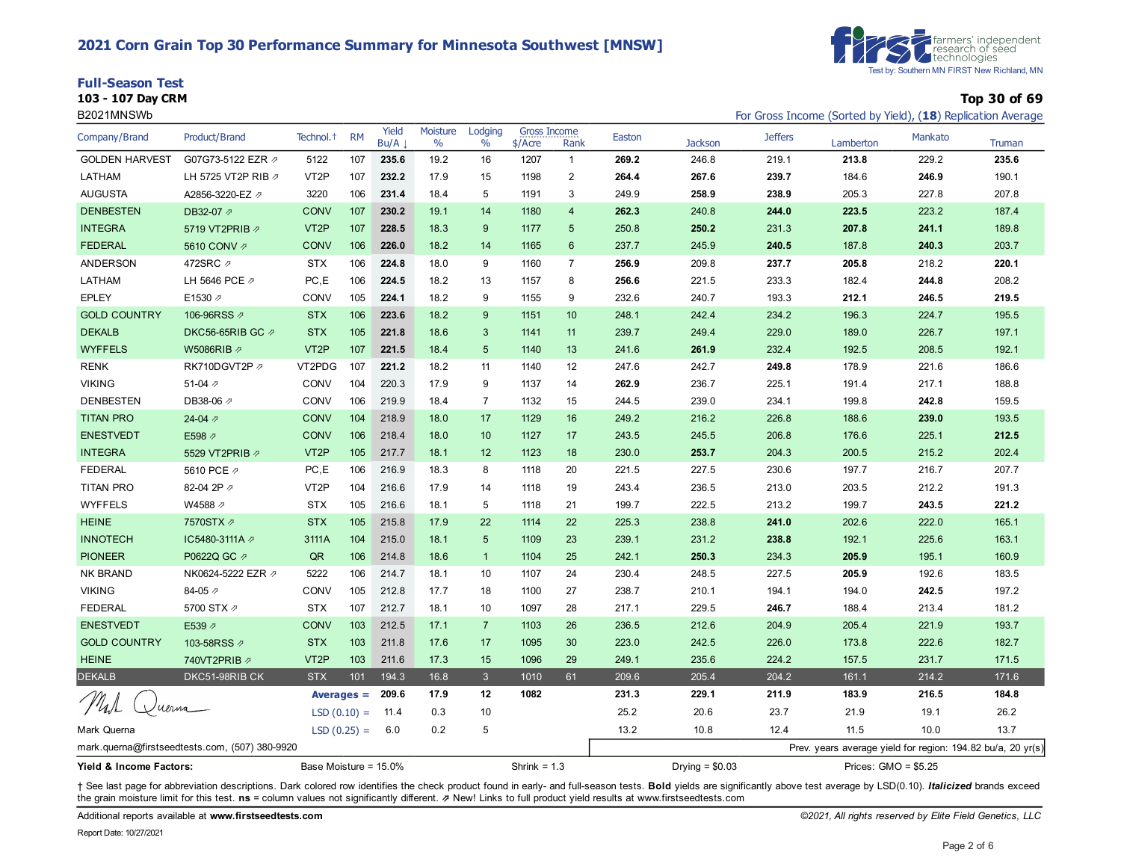#### **2021 Corn Grain Top 30 Performance Summary for Minnesota Southwest [MNSW]**





**103 - 107 Day CRM Top 30 of 69** B2021MNSWb For Gross Income (Sorted by Yield), (**18**) Replication Average

| Company/Brand                                    | <b>Product/Brand</b>                           | Technol. <sup>+</sup> | <b>RM</b>     | Yield<br>Bu/A | Moisture<br>$\%$ | Lodging<br>$\frac{0}{0}$ | <b>Gross Income</b><br>\$/Acre | Rank           | Easton | <b>Jackson</b>   | <b>Jeffers</b> | Lamberton                                                   | Mankato | <b>Truman</b> |
|--------------------------------------------------|------------------------------------------------|-----------------------|---------------|---------------|------------------|--------------------------|--------------------------------|----------------|--------|------------------|----------------|-------------------------------------------------------------|---------|---------------|
| <b>GOLDEN HARVEST</b>                            | G07G73-5122 EZR 2                              | 5122                  | 107           | 235.6         | 19.2             | 16                       | 1207                           | $\mathbf{1}$   | 269.2  | 246.8            | 219.1          | 213.8                                                       | 229.2   | 235.6         |
| LATHAM                                           | LH 5725 VT2P RIB 2                             | VT <sub>2</sub> P     | 107           | 232.2         | 17.9             | 15                       | 1198                           | $\mathbf{2}$   | 264.4  | 267.6            | 239.7          | 184.6                                                       | 246.9   | 190.1         |
| <b>AUGUSTA</b>                                   | A2856-3220-EZ 2                                | 3220                  | 106           | 231.4         | 18.4             | 5                        | 1191                           | 3              | 249.9  | 258.9            | 238.9          | 205.3                                                       | 227.8   | 207.8         |
| <b>DENBESTEN</b>                                 | DB32-07 2                                      | <b>CONV</b>           | 107           | 230.2         | 19.1             | 14                       | 1180                           | $\overline{4}$ | 262.3  | 240.8            | 244.0          | 223.5                                                       | 223.2   | 187.4         |
| <b>INTEGRA</b>                                   | 5719 VT2PRIB 2                                 | VT <sub>2</sub> P     | 107           | 228.5         | 18.3             | 9                        | 1177                           | 5              | 250.8  | 250.2            | 231.3          | 207.8                                                       | 241.1   | 189.8         |
| <b>FEDERAL</b>                                   | 5610 CONV 2                                    | CONV                  | 106           | 226.0         | 18.2             | 14                       | 1165                           | $6\phantom{1}$ | 237.7  | 245.9            | 240.5          | 187.8                                                       | 240.3   | 203.7         |
| ANDERSON                                         | 472SRC ク                                       | <b>STX</b>            | 106           | 224.8         | 18.0             | 9                        | 1160                           | $\overline{7}$ | 256.9  | 209.8            | 237.7          | 205.8                                                       | 218.2   | 220.1         |
| LATHAM                                           | LH 5646 PCE 2                                  | PC,E                  | 106           | 224.5         | 18.2             | 13                       | 1157                           | 8              | 256.6  | 221.5            | 233.3          | 182.4                                                       | 244.8   | 208.2         |
| <b>EPLEY</b>                                     | E1530 2                                        | CONV                  | 105           | 224.1         | 18.2             | 9                        | 1155                           | 9              | 232.6  | 240.7            | 193.3          | 212.1                                                       | 246.5   | 219.5         |
| <b>GOLD COUNTRY</b>                              | 106-96RSS 2                                    | <b>STX</b>            | 106           | 223.6         | 18.2             | 9                        | 1151                           | 10             | 248.1  | 242.4            | 234.2          | 196.3                                                       | 224.7   | 195.5         |
| <b>DEKALB</b>                                    | DKC56-65RIB GC の                               | <b>STX</b>            | 105           | 221.8         | 18.6             | 3                        | 1141                           | 11             | 239.7  | 249.4            | 229.0          | 189.0                                                       | 226.7   | 197.1         |
| <b>WYFFELS</b>                                   | W5086RIB Ø                                     | VT <sub>2</sub> P     | 107           | 221.5         | 18.4             | $5\phantom{1}$           | 1140                           | 13             | 241.6  | 261.9            | 232.4          | 192.5                                                       | 208.5   | 192.1         |
| <b>RENK</b>                                      | RK710DGVT2P                                    | VT2PDG                | 107           | 221.2         | 18.2             | 11                       | 1140                           | 12             | 247.6  | 242.7            | 249.8          | 178.9                                                       | 221.6   | 186.6         |
| <b>VIKING</b>                                    | 51-04 $\neg$                                   | <b>CONV</b>           | 104           | 220.3         | 17.9             | 9                        | 1137                           | 14             | 262.9  | 236.7            | 225.1          | 191.4                                                       | 217.1   | 188.8         |
| <b>DENBESTEN</b>                                 | DB38-06 2                                      | <b>CONV</b>           | 106           | 219.9         | 18.4             | $\overline{7}$           | 1132                           | 15             | 244.5  | 239.0            | 234.1          | 199.8                                                       | 242.8   | 159.5         |
| <b>TITAN PRO</b>                                 | 24-04 $\n $                                    | <b>CONV</b>           | 104           | 218.9         | 18.0             | 17                       | 1129                           | 16             | 249.2  | 216.2            | 226.8          | 188.6                                                       | 239.0   | 193.5         |
| <b>ENESTVEDT</b>                                 | E598 2                                         | <b>CONV</b>           | 106           | 218.4         | 18.0             | 10                       | 1127                           | 17             | 243.5  | 245.5            | 206.8          | 176.6                                                       | 225.1   | 212.5         |
| <b>INTEGRA</b>                                   | 5529 VT2PRIB 2                                 | VT <sub>2</sub> P     | 105           | 217.7         | 18.1             | 12                       | 1123                           | 18             | 230.0  | 253.7            | 204.3          | 200.5                                                       | 215.2   | 202.4         |
| <b>FEDERAL</b>                                   | 5610 PCE 2                                     | PC, E                 | 106           | 216.9         | 18.3             | 8                        | 1118                           | 20             | 221.5  | 227.5            | 230.6          | 197.7                                                       | 216.7   | 207.7         |
| <b>TITAN PRO</b>                                 | 82-04 2P 2                                     | VT <sub>2</sub> P     | 104           | 216.6         | 17.9             | 14                       | 1118                           | 19             | 243.4  | 236.5            | 213.0          | 203.5                                                       | 212.2   | 191.3         |
| <b>WYFFELS</b>                                   | W4588 2                                        | <b>STX</b>            | 105           | 216.6         | 18.1             | 5                        | 1118                           | 21             | 199.7  | 222.5            | 213.2          | 199.7                                                       | 243.5   | 221.2         |
| <b>HEINE</b>                                     | 7570STX 2                                      | <b>STX</b>            | 105           | 215.8         | 17.9             | 22                       | 1114                           | 22             | 225.3  | 238.8            | 241.0          | 202.6                                                       | 222.0   | 165.1         |
| <b>INNOTECH</b>                                  | IC5480-3111A の                                 | 3111A                 | 104           | 215.0         | 18.1             | $5\phantom{1}$           | 1109                           | 23             | 239.1  | 231.2            | 238.8          | 192.1                                                       | 225.6   | 163.1         |
| <b>PIONEER</b>                                   | P0622Q GC 2                                    | QR                    | 106           | 214.8         | 18.6             | $\overline{1}$           | 1104                           | 25             | 242.1  | 250.3            | 234.3          | 205.9                                                       | 195.1   | 160.9         |
| <b>NK BRAND</b>                                  | NK0624-5222 EZR Ø                              | 5222                  | 106           | 214.7         | 18.1             | 10                       | 1107                           | 24             | 230.4  | 248.5            | 227.5          | 205.9                                                       | 192.6   | 183.5         |
| <b>VIKING</b>                                    | 84-05 2                                        | CONV                  | 105           | 212.8         | 17.7             | 18                       | 1100                           | 27             | 238.7  | 210.1            | 194.1          | 194.0                                                       | 242.5   | 197.2         |
| <b>FEDERAL</b>                                   | 5700 STX $\vartheta$                           | <b>STX</b>            | 107           | 212.7         | 18.1             | 10                       | 1097                           | 28             | 217.1  | 229.5            | 246.7          | 188.4                                                       | 213.4   | 181.2         |
| <b>ENESTVEDT</b>                                 | E539 2                                         | <b>CONV</b>           | 103           | 212.5         | 17.1             | $\overline{7}$           | 1103                           | 26             | 236.5  | 212.6            | 204.9          | 205.4                                                       | 221.9   | 193.7         |
| <b>GOLD COUNTRY</b>                              | 103-58RSS 2                                    | <b>STX</b>            | 103           | 211.8         | 17.6             | 17                       | 1095                           | 30             | 223.0  | 242.5            | 226.0          | 173.8                                                       | 222.6   | 182.7         |
| <b>HEINE</b>                                     | 740VT2PRIB ク                                   | VT <sub>2</sub> P     | 103           | 211.6         | 17.3             | 15                       | 1096                           | 29             | 249.1  | 235.6            | 224.2          | 157.5                                                       | 231.7   | 171.5         |
| <b>DEKALB</b>                                    | DKC51-98RIB CK                                 | <b>STX</b>            | 101           | 194.3         | 16.8             | $\mathbf{3}$             | 1010                           | 61             | 209.6  | 205.4            | 204.2          | 161.1                                                       | 214.2   | 171.6         |
| uerna                                            |                                                |                       | Averages $=$  | 209.6         | 17.9             | 12                       | 1082                           |                | 231.3  | 229.1            | 211.9          | 183.9                                                       | 216.5   | 184.8         |
|                                                  |                                                |                       | $LSD(0.10) =$ | 11.4          | 0.3              | 10                       |                                |                | 25.2   | 20.6             | 23.7           | 21.9                                                        | 19.1    | 26.2          |
| Mark Querna                                      |                                                |                       | $LSD(0.25) =$ | 6.0           | 0.2              | 5                        |                                |                | 13.2   | 10.8             | 12.4           | 11.5                                                        | 10.0    | 13.7          |
|                                                  | mark.querna@firstseedtests.com, (507) 380-9920 |                       |               |               |                  |                          |                                |                |        |                  |                | Prev. years average yield for region: 194.82 bu/a, 20 yr(s) |         |               |
| Base Moisture = 15.0%<br>Yield & Income Factors: |                                                |                       |               |               |                  |                          | Shrink = $1.3$                 |                |        | Drying = $$0.03$ |                | Prices: GMO = \$5.25                                        |         |               |

+ See last page for abbreviation descriptions. Dark colored row identifies the check product found in early- and full-season tests. Bold yields are significantly above test average by LSD(0.10). Italicized brands exceed the grain moisture limit for this test. **ns** = column values not significantly different. ⇗ New! Links to full product yield results at www.firstseedtests.com

Additional reports available at **[www.firstseedtests.com](https://www.firstseedtests.com)** *©2021, All rights reserved by Elite Field Genetics, LLC*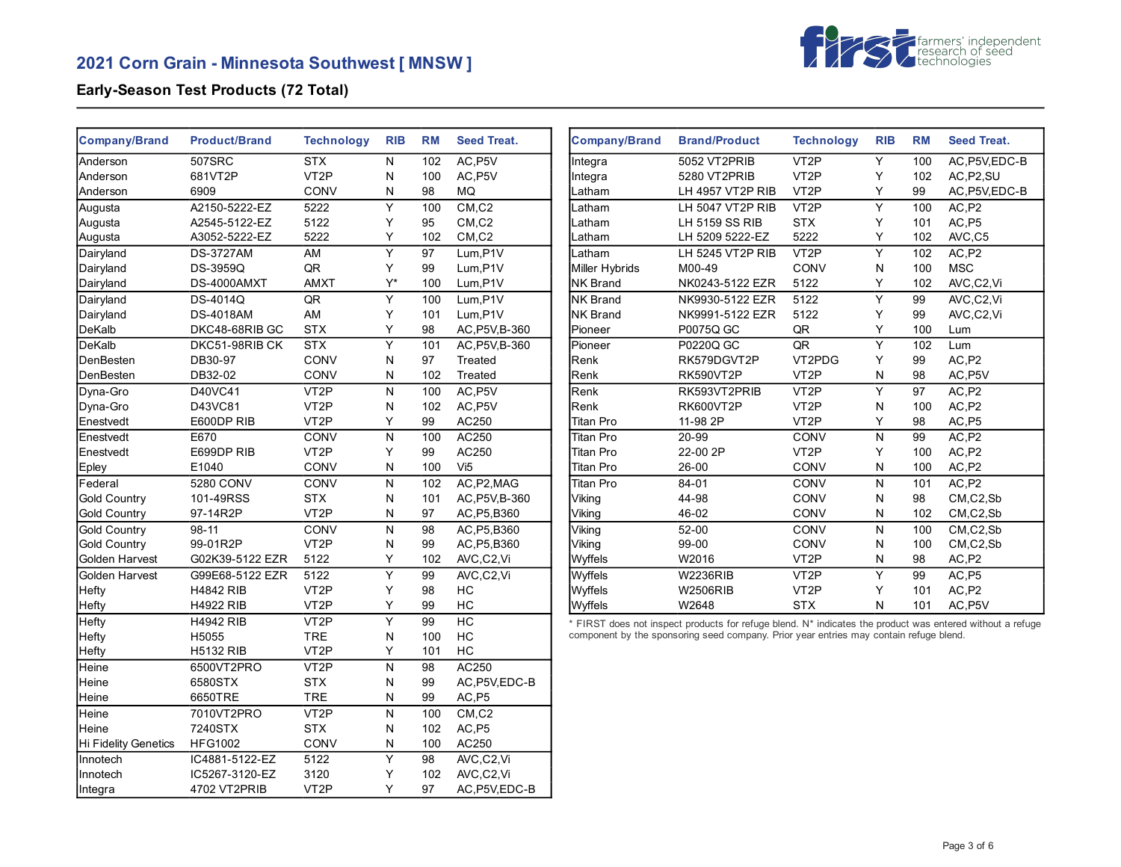# **2021 Corn Grain - Minnesota Southwest [ MNSW ]**



# **Early-Season Test Products (72 Total)**

| <b>Company/Brand</b>        | <b>Product/Brand</b>      | <b>Technology</b>               | <b>RIB</b>     | <b>RM</b>  | <b>Seed Treat.</b> | <b>Company/Brand</b> | <b>Brand/Product</b>                                                                                                                                                                                | <b>Technology</b> | <b>RIB</b>     | <b>RM</b> | <b>Seed Treat.</b> |
|-----------------------------|---------------------------|---------------------------------|----------------|------------|--------------------|----------------------|-----------------------------------------------------------------------------------------------------------------------------------------------------------------------------------------------------|-------------------|----------------|-----------|--------------------|
| Anderson                    | 507SRC                    | <b>STX</b>                      | N              | 102        | AC, P5V            | Integra              | 5052 VT2PRIB                                                                                                                                                                                        | VT <sub>2</sub> P | Y              | 100       | AC, P5V, EDC-B     |
| Anderson                    | 681VT2P                   | VT <sub>2</sub> P               | ${\sf N}$      | 100        | AC, P5V            | Integra              | 5280 VT2PRIB                                                                                                                                                                                        | VT <sub>2</sub> P | Y              | 102       | AC, P2, SU         |
| Anderson                    | 6909                      | CONV                            | N              | 98         | MQ                 | Latham               | LH 4957 VT2P RIB                                                                                                                                                                                    | VT <sub>2</sub> P | Υ              | 99        | AC, P5V, EDC-B     |
| Augusta                     | A2150-5222-EZ             | 5222                            | Υ              | 100        | CM, C2             | .atham               | LH 5047 VT2P RIB                                                                                                                                                                                    | VT <sub>2</sub> P | Υ              | 100       | AC,P2              |
| Augusta                     | A2545-5122-EZ             | 5122                            | Y              | 95         | CM, C2             | _atham               | <b>LH 5159 SS RIB</b>                                                                                                                                                                               | <b>STX</b>        | Υ              | 101       | AC, P5             |
| Augusta                     | A3052-5222-EZ             | 5222                            | Y              | 102        | CM <sub>.C2</sub>  | _atham               | LH 5209 5222-EZ                                                                                                                                                                                     | 5222              | Y              | 102       | AVC,C5             |
| Dairyland                   | <b>DS-3727AM</b>          | AM                              | Y              | 97         | Lum.P1V            | -atham               | LH 5245 VT2P RIB                                                                                                                                                                                    | VT <sub>2</sub> P | Y              | 102       | AC,P2              |
| Dairyland                   | <b>DS-3959Q</b>           | QR                              | Y              | 99         | Lum, P1V           | Miller Hybrids       | M00-49                                                                                                                                                                                              | CONV              | N              | 100       | <b>MSC</b>         |
| Dairyland                   | DS-4000AMXT               | <b>AMXT</b>                     | $Y^*$          | 100        | Lum, P1V           | <b>NK Brand</b>      | NK0243-5122 EZR                                                                                                                                                                                     | 5122              | Y              | 102       | AVC,C2,Vi          |
| Dairyland                   | DS-4014Q                  | QR                              | Y              | 100        | Lum, P1V           | <b>NK Brand</b>      | NK9930-5122 EZR                                                                                                                                                                                     | 5122              | Υ              | 99        | AVC,C2,Vi          |
| Dairyland                   | <b>DS-4018AM</b>          | AM                              | Y              | 101        | Lum, P1V           | <b>NK Brand</b>      | NK9991-5122 EZR                                                                                                                                                                                     | 5122              | Υ              | 99        | AVC,C2,Vi          |
| DeKalb                      | DKC48-68RIB GC            | <b>STX</b>                      | Υ              | 98         | AC, P5V, B-360     | Pioneer              | P0075Q GC                                                                                                                                                                                           | QR                | Υ              | 100       | Lum                |
| DeKalb                      | DKC51-98RIB CK            | <b>STX</b>                      | $\overline{Y}$ | 101        | AC.P5V.B-360       | Pioneer              | P0220Q GC                                                                                                                                                                                           | QR                | $\overline{Y}$ | 102       | Lum                |
| DenBesten                   | DB30-97                   | <b>CONV</b>                     | N              | 97         | Treated            | Renk                 | RK579DGVT2P                                                                                                                                                                                         | VT2PDG            | Y              | 99        | AC, P2             |
| DenBesten                   | DB32-02                   | CONV                            | N              | 102        | Treated            | Renk                 | RK590VT2P                                                                                                                                                                                           | VT <sub>2</sub> P | N              | 98        | AC, P5V            |
| Dyna-Gro                    | D40VC41                   | VT <sub>2</sub> P               | ${\sf N}$      | 100        | AC, P5V            | Renk                 | RK593VT2PRIB                                                                                                                                                                                        | VT <sub>2</sub> P | Y              | 97        | AC, P2             |
| Dyna-Gro                    | D43VC81                   | VT <sub>2</sub> P               | N              | 102        | AC, P5V            | Renk                 | <b>RK600VT2P</b>                                                                                                                                                                                    | VT <sub>2</sub> P | N              | 100       | AC, P2             |
| Enestvedt                   | E600DP RIB                | VT <sub>2</sub> P               | Υ              | 99         | AC250              | Titan Pro            | 11-98 2P                                                                                                                                                                                            | VT <sub>2</sub> P | Υ              | 98        | AC, P5             |
| Enestvedt                   | E670                      | CONV                            | N              | 100        | AC250              | Titan Pro            | 20-99                                                                                                                                                                                               | CONV              | N              | 99        | AC, P2             |
| Enestvedt                   | E699DP RIB                | VT <sub>2</sub> P               | Y              | 99         | AC250              | <b>Titan Pro</b>     | 22-00 2P                                                                                                                                                                                            | VT <sub>2</sub> P | Y              | 100       | AC, P2             |
| Epley                       | E1040                     | CONV                            | N              | 100        | Vi <sub>5</sub>    | Titan Pro            | $26 - 00$                                                                                                                                                                                           | CONV              | N              | 100       | AC,P2              |
| Federal                     | 5280 CONV                 | CONV                            | ${\sf N}$      | 102        | AC, P2, MAG        | Titan Pro            | 84-01                                                                                                                                                                                               | CONV              | ${\sf N}$      | 101       | AC, P2             |
| Gold Country                | 101-49RSS                 | <b>STX</b>                      | N              | 101        | AC, P5V, B-360     | Viking               | 44-98                                                                                                                                                                                               | CONV              | N              | 98        | CM,C2,Sb           |
| Gold Country                | 97-14R2P                  | VT <sub>2</sub> P               | N              | 97         | AC, P5, B360       | Viking               | 46-02                                                                                                                                                                                               | CONV              | N              | 102       | CM, C2, Sb         |
| <b>Gold Country</b>         | $98 - 11$                 | CONV                            | ${\sf N}$      | 98         | AC, P5, B360       | Viking               | $52-00$                                                                                                                                                                                             | CONV              | $\mathsf{N}$   | 100       | CM,C2,Sb           |
| Gold Country                | 99-01R2P                  | VT <sub>2</sub> P               | N              | 99         | AC, P5, B360       | Viking               | 99-00                                                                                                                                                                                               | CONV              | N              | 100       | CM, C2, Sb         |
| Golden Harvest              | G02K39-5122 EZR           | 5122                            | Y              | 102        | AVC,C2,Vi          | Wyffels              | W2016                                                                                                                                                                                               | VT <sub>2</sub> P | N              | 98        | AC, P2             |
| Golden Harvest              | G99E68-5122 EZR           | 5122                            | Y              | 99         | AVC,C2,Vi          | Wyffels              | <b>W2236RIB</b>                                                                                                                                                                                     | VT <sub>2</sub> P | Y              | 99        | AC, P5             |
| Hefty                       | <b>H4842 RIB</b>          | VT <sub>2</sub> P               | Y              | 98         | HC                 | Wyffels              | <b>W2506RIB</b>                                                                                                                                                                                     | VT <sub>2</sub> P | Y              | 101       | AC, P2             |
| <b>Hefty</b>                | <b>H4922 RIB</b>          | VT <sub>2</sub> P               | Υ              | 99         | НC                 | Wyffels              | W2648                                                                                                                                                                                               | <b>STX</b>        | ${\sf N}$      | 101       | AC, P5V            |
|                             |                           |                                 | Y              |            | HC                 |                      |                                                                                                                                                                                                     |                   |                |           |                    |
| Hefty                       | <b>H4942 RIB</b>          | VT <sub>2</sub> P               |                | 99         | HC                 |                      | * FIRST does not inspect products for refuge blend. N* indicates the product was entered without a refuge<br>component by the sponsoring seed company. Prior year entries may contain refuge blend. |                   |                |           |                    |
| <b>Hefty</b>                | H5055<br><b>H5132 RIB</b> | <b>TRE</b><br>VT <sub>2</sub> P | N<br>Υ         | 100<br>101 | HC                 |                      |                                                                                                                                                                                                     |                   |                |           |                    |
| Hefty                       |                           |                                 |                |            | AC250              |                      |                                                                                                                                                                                                     |                   |                |           |                    |
| Heine                       | 6500VT2PRO                | VT <sub>2</sub> P               | ${\sf N}$      | 98         |                    |                      |                                                                                                                                                                                                     |                   |                |           |                    |
| Heine                       | 6580STX                   | <b>STX</b>                      | N              | 99         | AC, P5V, EDC-B     |                      |                                                                                                                                                                                                     |                   |                |           |                    |
| Heine                       | 6650TRE                   | <b>TRE</b>                      | N              | 99         | AC,P5              |                      |                                                                                                                                                                                                     |                   |                |           |                    |
| Heine                       | 7010VT2PRO                | VT <sub>2</sub> P               | N              | 100        | CM, C2             |                      |                                                                                                                                                                                                     |                   |                |           |                    |
| <b>Heine</b>                | 7240STX                   | <b>STX</b>                      | N              | 102        | AC,P5              |                      |                                                                                                                                                                                                     |                   |                |           |                    |
| <b>Hi Fidelity Genetics</b> | <b>HFG1002</b>            | CONV                            | N              | 100        | AC250              |                      |                                                                                                                                                                                                     |                   |                |           |                    |
| Innotech                    | IC4881-5122-EZ            | 5122                            | $\overline{Y}$ | 98         | AVC,C2,Vi          |                      |                                                                                                                                                                                                     |                   |                |           |                    |
| Innotech                    | IC5267-3120-EZ            | 3120                            | Y              | 102        | AVC,C2,Vi          |                      |                                                                                                                                                                                                     |                   |                |           |                    |
| Integra                     | 4702 VT2PRIB              | VT <sub>2</sub> P               | Y              | 97         | AC, P5V, EDC-B     |                      |                                                                                                                                                                                                     |                   |                |           |                    |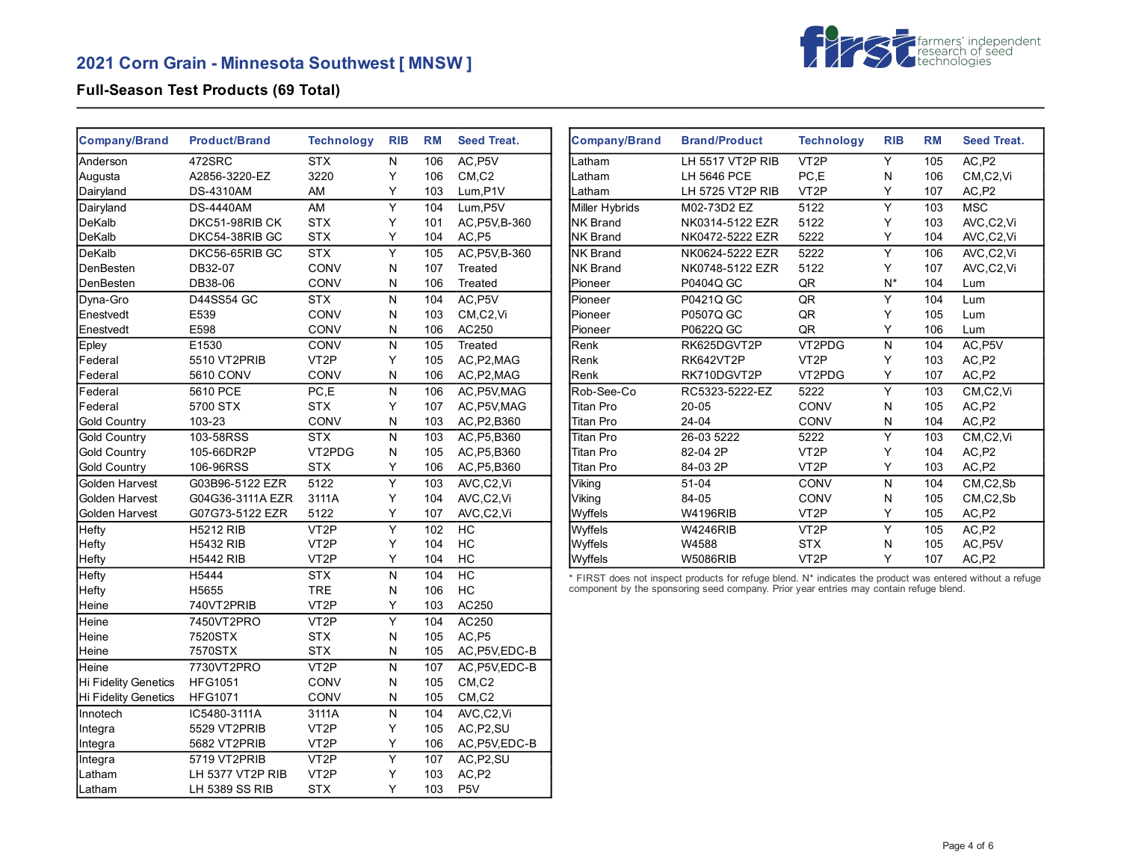# **2021 Corn Grain - Minnesota Southwest [ MNSW ]**



# **Full-Season Test Products (69 Total)**

| <b>Company/Brand</b> | <b>Product/Brand</b> | <b>Technology</b> | <b>RIB</b>     | <b>RM</b> | <b>Seed Treat.</b> | <b>Company/Brand</b> | <b>Brand/Product</b>                                                                                      | <b>Technology</b>                                        | <b>RIB</b>     | <b>RM</b> | <b>Seed Treat.</b> |
|----------------------|----------------------|-------------------|----------------|-----------|--------------------|----------------------|-----------------------------------------------------------------------------------------------------------|----------------------------------------------------------|----------------|-----------|--------------------|
| Anderson             | 472SRC               | <b>STX</b>        | N              | 106       | AC, P5V            | Latham               | LH 5517 VT2P RIB                                                                                          | VT <sub>2</sub> P                                        | Y              | 105       | AC,P2              |
| Augusta              | A2856-3220-EZ        | 3220              | Υ              | 106       | CM, C2             | Latham               | LH 5646 PCE                                                                                               | PC,E                                                     | ${\sf N}$      | 106       | CM,C2,Vi           |
| Dairyland            | <b>DS-4310AM</b>     | AM                | Υ              | 103       | Lum, P1V           | Latham               | LH 5725 VT2P RIB                                                                                          | VT <sub>2</sub> P                                        | Υ              | 107       | AC,P2              |
| Dairyland            | <b>DS-4440AM</b>     | AM                | Y              | 104       | Lum, P5V           | Miller Hybrids       | M02-73D2 EZ                                                                                               | 5122                                                     | Y              | 103       | <b>MSC</b>         |
| DeKalb               | DKC51-98RIB CK       | <b>STX</b>        | Υ              | 101       | AC, P5V, B-360     | <b>NK Brand</b>      | NK0314-5122 EZR                                                                                           | 5122                                                     | Υ              | 103       | AVC,C2,Vi          |
| DeKalb               | DKC54-38RIB GC       | <b>STX</b>        | Υ              | 104       | AC, P5             | <b>NK Brand</b>      | NK0472-5222 EZR                                                                                           | 5222                                                     | Y              | 104       | AVC,C2,Vi          |
| DeKalb               | DKC56-65RIB GC       | <b>STX</b>        | Y              | 105       | AC, P5V, B-360     | <b>NK Brand</b>      | NK0624-5222 EZR                                                                                           | 5222                                                     | Y              | 106       | AVC,C2,Vi          |
| DenBesten            | DB32-07              | CONV              | N              | 107       | Treated            | <b>NK Brand</b>      | NK0748-5122 EZR                                                                                           | 5122                                                     | Υ              | 107       | AVC,C2,Vi          |
| DenBesten            | DB38-06              | CONV              | N              | 106       | Treated            | Pioneer              | P0404Q GC                                                                                                 | QR                                                       | $N^*$          | 104       | Lum                |
| Dyna-Gro             | D44SS54 GC           | <b>STX</b>        | ${\sf N}$      | 104       | AC, P5V            | Pioneer              | P0421Q GC                                                                                                 | $\overline{\mathsf{QR}}$                                 | Y              | 104       | Lum                |
| Enestvedt            | E539                 | CONV              | N              | 103       | CM,C2,Vi           | Pioneer              | P0507Q GC                                                                                                 | $\mathsf{QR}% _{\mathsf{CL}}^{\mathsf{CL}}(\mathcal{A})$ | Υ              | 105       | Lum                |
| Enestvedt            | E598                 | CONV              | ${\sf N}$      | 106       | AC250              | Pioneer              | P0622Q GC                                                                                                 | QR                                                       | Y              | 106       | Lum                |
| Epley                | E1530                | CONV              | ${\sf N}$      | 105       | Treated            | Renk                 | RK625DGVT2P                                                                                               | VT2PDG                                                   | $\mathsf{N}$   | 104       | AC, P5V            |
| Federal              | 5510 VT2PRIB         | VT <sub>2</sub> P | Υ              | 105       | AC, P2, MAG        | Renk                 | RK642VT2P                                                                                                 | VT <sub>2</sub> P                                        | Y              | 103       | AC,P2              |
| Federal              | 5610 CONV            | CONV              | N              | 106       | AC, P2, MAG        | Renk                 | RK710DGVT2P                                                                                               | VT2PDG                                                   | Y              | 107       | AC,P2              |
| Federal              | 5610 PCE             | PC, E             | ${\sf N}$      | 106       | AC, P5V, MAG       | Rob-See-Co           | RC5323-5222-EZ                                                                                            | 5222                                                     | Y              | 103       | CM,C2,Vi           |
| Federal              | 5700 STX             | <b>STX</b>        | Υ              | 107       | AC, P5V, MAG       | <b>Titan Pro</b>     | $20 - 05$                                                                                                 | CONV                                                     | N              | 105       | AC,P2              |
| Gold Country         | 103-23               | CONV              | N              | 103       | AC, P2, B360       | <b>Titan Pro</b>     | 24-04                                                                                                     | CONV                                                     | N              | 104       | AC,P2              |
| Gold Country         | 103-58RSS            | STX               | ${\sf N}$      | 103       | AC, P5, B360       | <b>Titan Pro</b>     | 26-03 5222                                                                                                | 5222                                                     | $\overline{Y}$ | 103       | CM,C2,Vi           |
| <b>Gold Country</b>  | 105-66DR2P           | VT2PDG            | N              | 105       | AC, P5, B360       | <b>Titan Pro</b>     | 82-04 2P                                                                                                  | VT <sub>2</sub> P                                        | Υ              | 104       | AC,P2              |
| Gold Country         | 106-96RSS            | <b>STX</b>        | Υ              | 106       | AC, P5, B360       | <b>Titan Pro</b>     | 84-03 2P                                                                                                  | VT <sub>2</sub> P                                        | Y              | 103       | AC,P2              |
| Golden Harvest       | G03B96-5122 EZR      | 5122              | $\overline{Y}$ | 103       | AVC,C2,Vi          | Viking               | $51 - 04$                                                                                                 | CONV                                                     | ${\sf N}$      | 104       | CM,C2,Sb           |
| Golden Harvest       | G04G36-3111A EZR     | 3111A             | Υ              | 104       | AVC,C2,Vi          | Viking               | 84-05                                                                                                     | CONV                                                     | N              | 105       | CM, C2, Sb         |
| Golden Harvest       | G07G73-5122 EZR      | 5122              | Υ              | 107       | AVC,C2,Vi          | Wyffels              | <b>W4196RIB</b>                                                                                           | VT <sub>2</sub> P                                        | Y              | 105       | AC,P2              |
| Hefty                | <b>H5212 RIB</b>     | VT <sub>2</sub> P | Y              | 102       | HC                 | Wyffels              | <b>W4246RIB</b>                                                                                           | VT <sub>2</sub> P                                        | Y              | 105       | AC,P2              |
| <b>Hefty</b>         | <b>H5432 RIB</b>     | VT <sub>2</sub> P | Υ              | 104       | HC                 | Wyffels              | W4588                                                                                                     | <b>STX</b>                                               | N              | 105       | AC, P5V            |
| <b>Hefty</b>         | <b>H5442 RIB</b>     | VT <sub>2</sub> P | Υ              | 104       | HC                 | Wyffels              | <b>W5086RIB</b>                                                                                           | VT <sub>2</sub> P                                        | Y              | 107       | AC,P2              |
| <b>Hefty</b>         | H5444                | <b>STX</b>        | ${\sf N}$      | 104       | H <sub>C</sub>     |                      | * FIRST does not inspect products for refuge blend. N* indicates the product was entered without a refuge |                                                          |                |           |                    |
| Hefty                | H5655                | <b>TRE</b>        | ${\sf N}$      | 106       | HC                 |                      | component by the sponsoring seed company. Prior year entries may contain refuge blend.                    |                                                          |                |           |                    |
| Heine                | 740VT2PRIB           | VT <sub>2</sub> P | Υ              | 103       | AC250              |                      |                                                                                                           |                                                          |                |           |                    |
| Heine                | 7450VT2PRO           | VT <sub>2</sub> P | Υ              | 104       | AC250              |                      |                                                                                                           |                                                          |                |           |                    |
| Heine                | 7520STX              | <b>STX</b>        | N              | 105       | AC,P5              |                      |                                                                                                           |                                                          |                |           |                    |
| Heine                | 7570STX              | <b>STX</b>        | N              | 105       | AC, P5V, EDC-B     |                      |                                                                                                           |                                                          |                |           |                    |
| Heine                | 7730VT2PRO           | VT <sub>2</sub> P | ${\sf N}$      | 107       | AC, P5V, EDC-B     |                      |                                                                                                           |                                                          |                |           |                    |
| Hi Fidelity Genetics | <b>HFG1051</b>       | CONV              | N              | 105       | CM, C2             |                      |                                                                                                           |                                                          |                |           |                    |
| Hi Fidelity Genetics | <b>HFG1071</b>       | CONV              | ${\sf N}$      | 105       | CM, C2             |                      |                                                                                                           |                                                          |                |           |                    |
| Innotech             | IC5480-3111A         | 3111A             | ${\sf N}$      | 104       | AVC,C2,Vi          |                      |                                                                                                           |                                                          |                |           |                    |
| Integra              | 5529 VT2PRIB         | VT <sub>2</sub> P | Υ              | 105       | AC, P2, SU         |                      |                                                                                                           |                                                          |                |           |                    |
| Integra              | 5682 VT2PRIB         | VT <sub>2</sub> P | Y              | 106       | AC, P5V, EDC-B     |                      |                                                                                                           |                                                          |                |           |                    |
| Integra              | 5719 VT2PRIB         | VT <sub>2</sub> P | Υ              | 107       | AC, P2, SU         |                      |                                                                                                           |                                                          |                |           |                    |
| Latham               | LH 5377 VT2P RIB     | VT <sub>2</sub> P | Υ              | 103       | AC,P2              |                      |                                                                                                           |                                                          |                |           |                    |
| Latham               | LH 5389 SS RIB       | <b>STX</b>        | Y              | 103       | P <sub>5</sub> V   |                      |                                                                                                           |                                                          |                |           |                    |
|                      |                      |                   |                |           |                    |                      |                                                                                                           |                                                          |                |           |                    |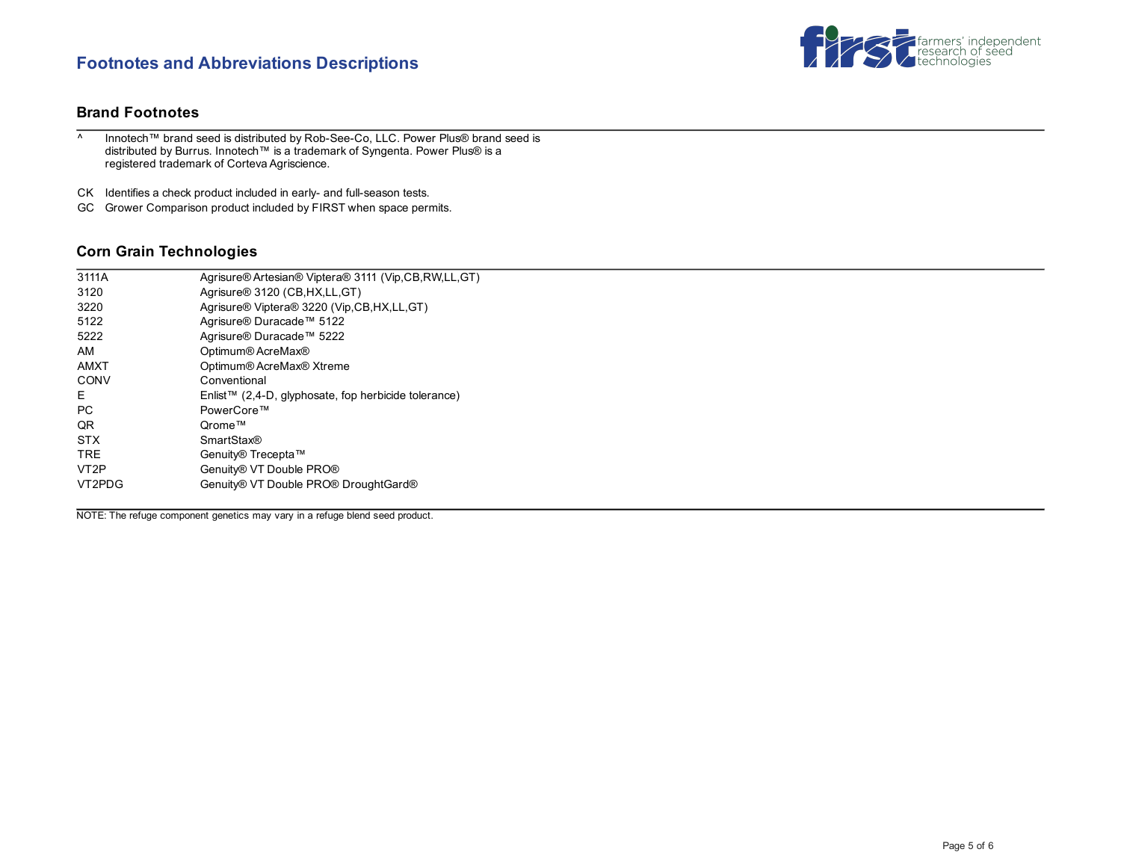# **Footnotes and Abbreviations Descriptions**



### **Brand Footnotes**

^ Innotech™ brand seed is distributed by Rob-See-Co, LLC. Power Plus® brand seed is distributed by Burrus. Innotech™ is a trademark of Syngenta. Power Plus® is a registered trademark of Corteva Agriscience.

CK Identifies a check product included in early- and full-season tests.

GC Grower Comparison product included by FIRST when space permits.

### **Corn Grain Technologies**

| 3111A             | Agrisure® Artesian® Viptera® 3111 (Vip,CB,RW,LL,GT)  |
|-------------------|------------------------------------------------------|
| 3120              | Agrisure <sup>®</sup> 3120 (CB, HX, LL, GT)          |
| 3220              | Agrisure® Viptera® 3220 (Vip, CB, HX, LL, GT)        |
| 5122              | Agrisure® Duracade™ 5122                             |
| 5222              | Agrisure® Duracade™ 5222                             |
| AM                | Optimum® AcreMax®                                    |
| <b>AMXT</b>       | Optimum® AcreMax® Xtreme                             |
| CONV              | Conventional                                         |
| E.                | Enlist™ (2,4-D, glyphosate, fop herbicide tolerance) |
| <b>PC</b>         | PowerCore™                                           |
| QR                | Orome™                                               |
| <b>STX</b>        | <b>SmartStax®</b>                                    |
| <b>TRE</b>        | Genuity® Trecepta™                                   |
| VT <sub>2</sub> P | Genuity® VT Double PRO®                              |
| VT2PDG            | Genuity® VT Double PRO® DroughtGard®                 |
|                   |                                                      |

NOTE: The refuge component genetics may vary in a refuge blend seed product.